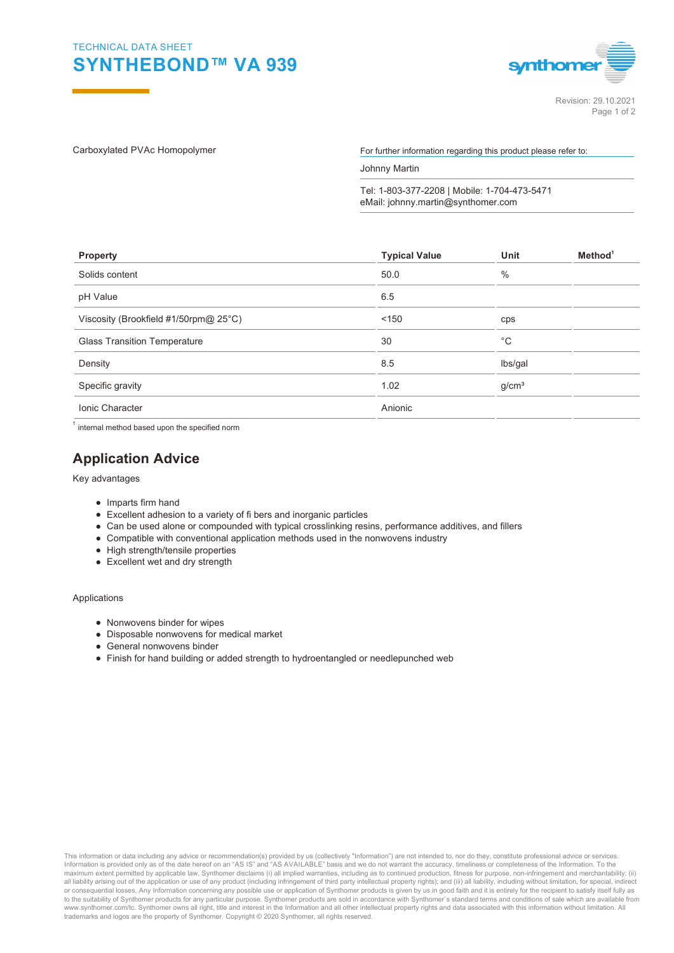

Carboxylated PVAc Homopolymer extending the For further information regarding this product please refer to:

Johnny Martin

Tel: 1-803-377-2208 | Mobile: 1-704-473-5471 eMail: johnny.martin@synthomer.com

| <b>Property</b>                       | <b>Typical Value</b> | Unit              | Method <sup>1</sup> |
|---------------------------------------|----------------------|-------------------|---------------------|
| Solids content                        | 50.0                 | $\%$              |                     |
| pH Value                              | 6.5                  |                   |                     |
| Viscosity (Brookfield #1/50rpm@ 25°C) | < 150                | cps               |                     |
| <b>Glass Transition Temperature</b>   | 30                   | $^{\circ}$ C      |                     |
| Density                               | 8.5                  | lbs/gal           |                     |
| Specific gravity                      | 1.02                 | g/cm <sup>3</sup> |                     |
| <b>Ionic Character</b>                | Anionic              |                   |                     |

 $^{\text{1}}$  internal method based upon the specified norm

## **Application Advice**

Key advantages

- Imparts firm hand
- Excellent adhesion to a variety of fi bers and inorganic particles
- Can be used alone or compounded with typical crosslinking resins, performance additives, and fillers
- Compatible with conventional application methods used in the nonwovens industry
- High strength/tensile properties
- Excellent wet and dry strength

Applications

- Nonwovens binder for wipes
- Disposable nonwovens for medical market
- General nonwovens binder
- Finish for hand building or added strength to hydroentangled or needlepunched web

This information or data including any advice or recommendation(s) provided by us (collectively "Information") are not intended to, nor do they, constitute professional advice or services.<br>Information is provided only as o all liability arising out of the application or use of any product (including infringement of third party intellectual property rights); and (iii) all liability, including without limitation, for special, indirect<br>or conse www.synthomer.com/tc. Synthomer owns all right, title and interest in the Information and all other intellectual property rights and data associated with this information without limitation. All trademarks and logos are the property of Synthomer. Copyright © 2020 Synthomer, all rights reserved.